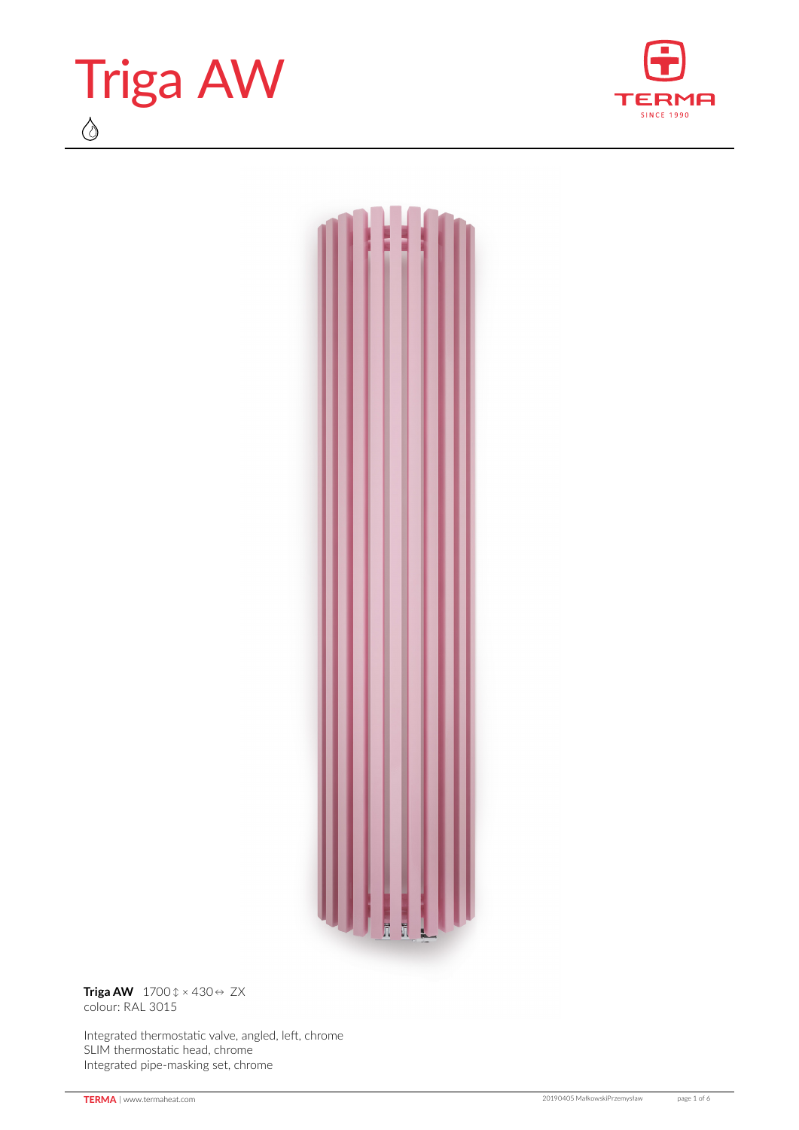





**Triga AW** 1700 ↕ × 430 ↔ ZX colour: RAL 3015

Integrated thermostatic valve, angled, left, chrome SLIM thermostatic head, chrome Integrated pipe‑masking set, chrome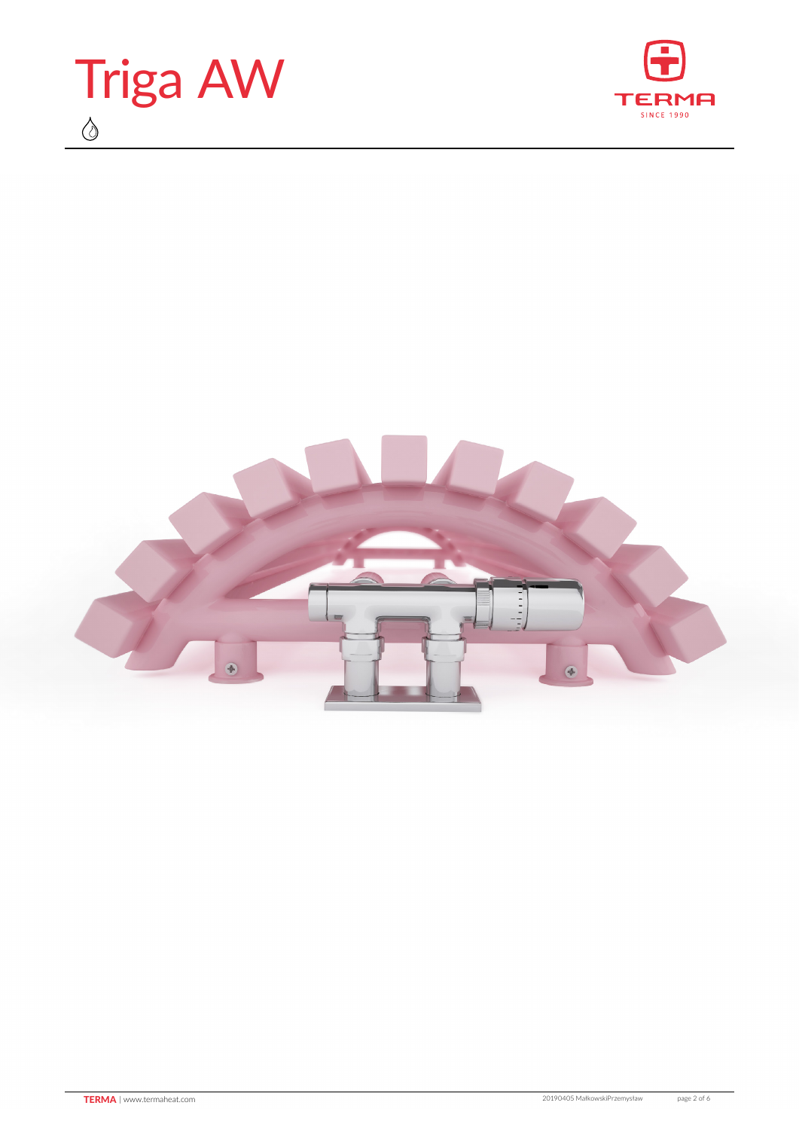



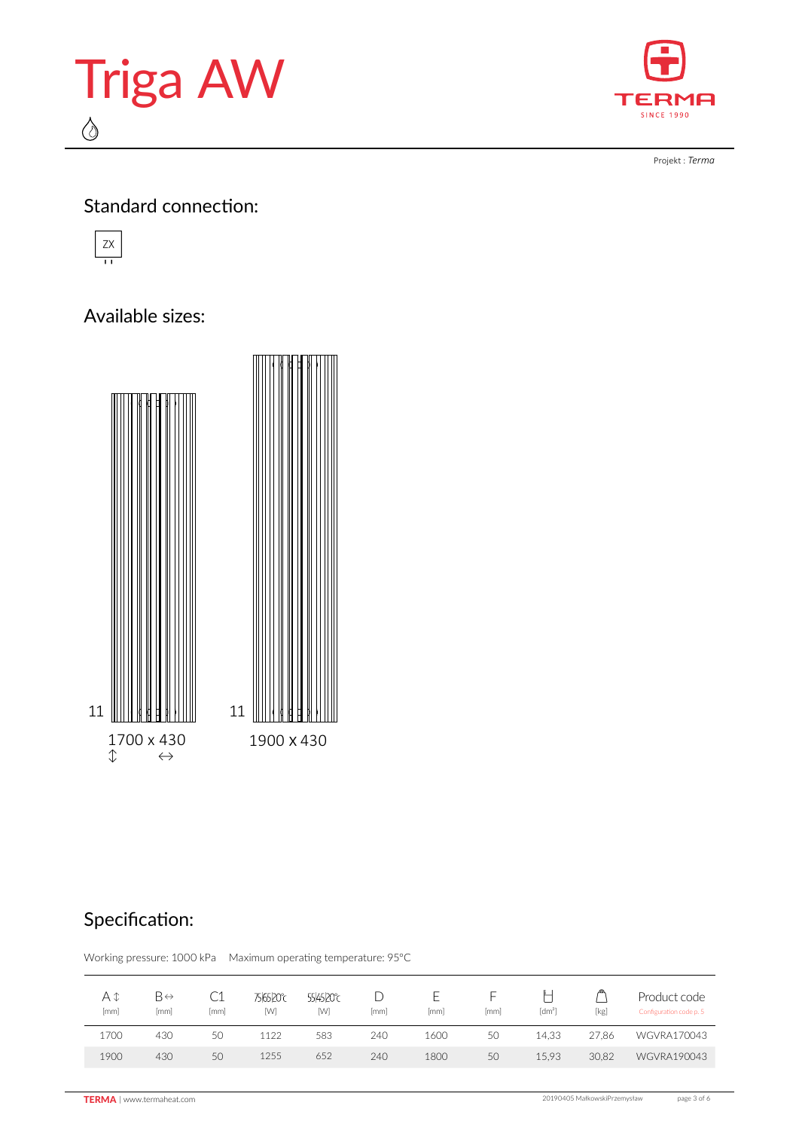



Projekt : *Terma*

#### Standard connection:



### Available sizes:



# Specification:

Working pressure: 1000 kPa Maximum operating temperature: 95°C

| А¢<br>[mm] | B⇔<br>mm | LΙ<br>mm | <b>756520℃</b><br>[W] | 554520°C<br>[W] | mm  | mm   | ⊢<br>mm | [dm <sup>3</sup> ] | [kg]  | Product code<br>Configuration code p. 5 |
|------------|----------|----------|-----------------------|-----------------|-----|------|---------|--------------------|-------|-----------------------------------------|
| 1700       | 430      | 50       | 1122                  | 583             | 240 | 1600 | 50      | 14.33              | 27.86 | WGVRA170043                             |
| 1900       | 430      | 50       | 1255                  | 652             | 240 | 1800 | 50      | 15.93              | 30.82 | WGVRA190043                             |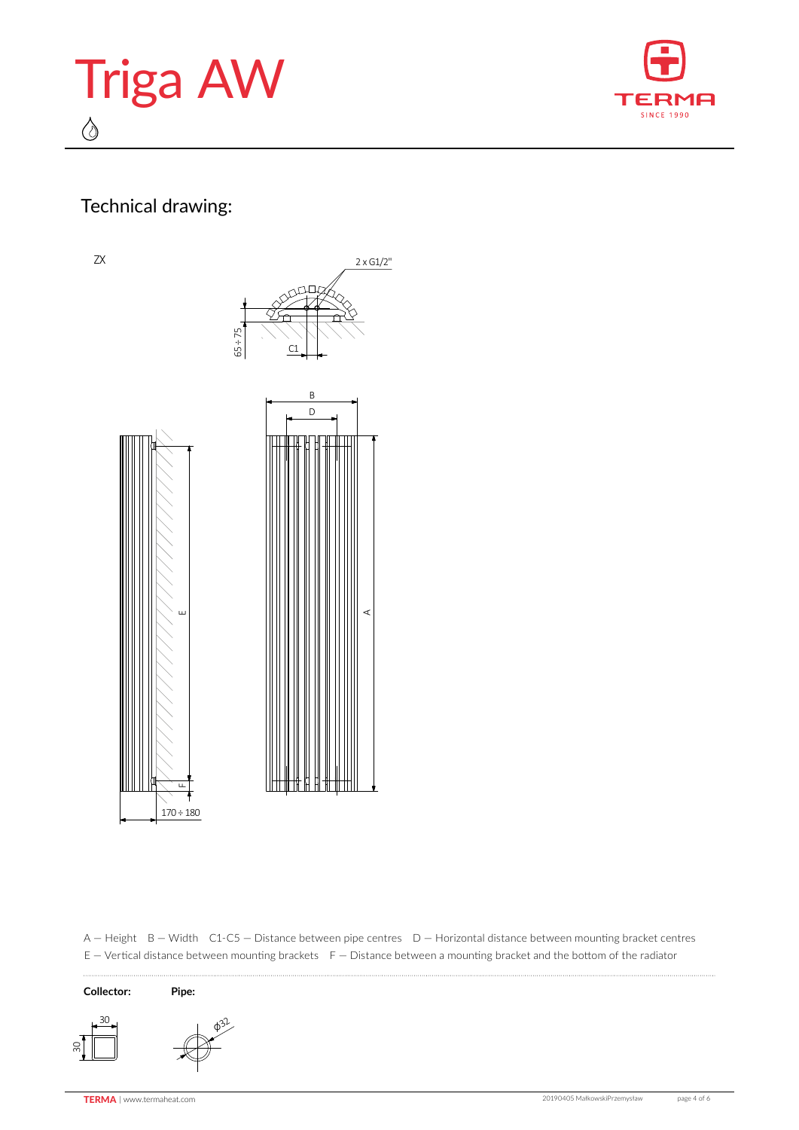



# Technical drawing:

ZX



A — Height B — Width C1-C5 — Distance between pipe centres D — Horizontal distance between mounting bracket centres E – Vertical distance between mounting brackets F – Distance between a mounting bracket and the bottom of the radiator



 $\cdots$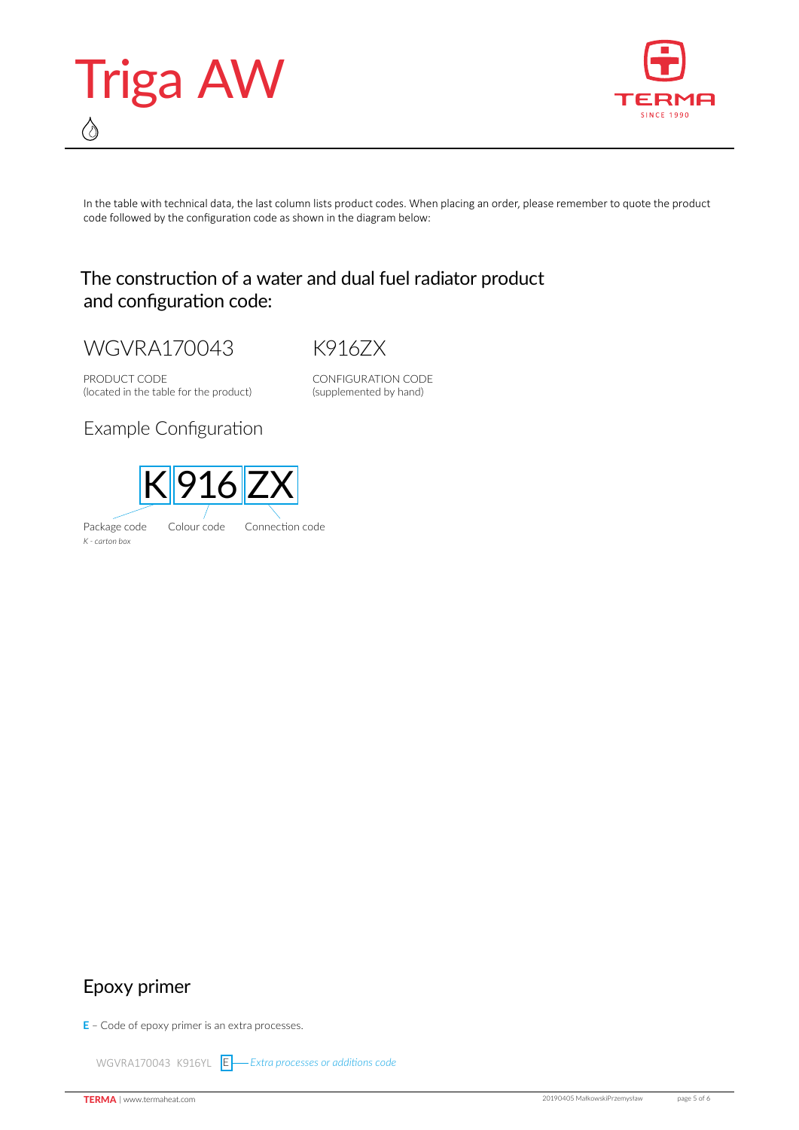



In the table with technical data, the last column lists product codes. When placing an order, please remember to quote the product code followed by the configuration code as shown in the diagram below:

#### The construction of a water and dual fuel radiator product and configuration code:

WGVRA170043

K916ZX

PRODUCT CODE (located in the table for the product) CONFIGURATION CODE (supplemented by hand)

Example Configuration

*K - carton box*



Epoxy primer

**E** – Code of epoxy primer is an extra processes.

WGVRA170043 K916YL **E** — Extra processes or additions code